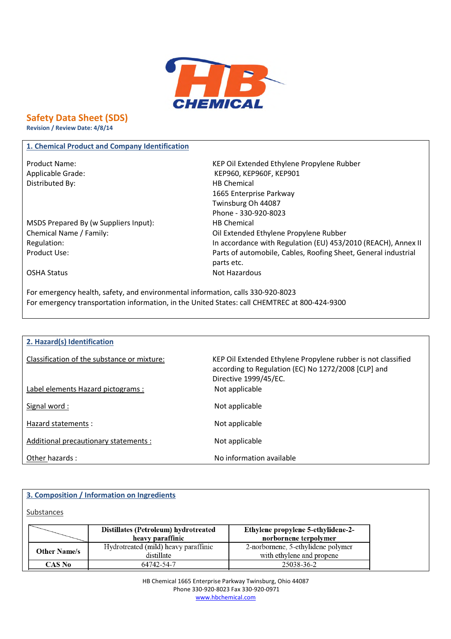

**Safety Data Sheet (SDS)**

**Revision / Review Date: 4/8/14**

### **1. Chemical Product and Company Identification**

Product Name: KEP Oil Extended Ethylene Propylene Rubber Distributed By: Notice and the Material HB Chemical

Applicable Grade: KEP960, KEP960F, KEP901 1665 Enterprise Parkway Twinsburg Oh 44087 Phone - 330-920-8023 MSDS Prepared By (w Suppliers Input): HB Chemical Chemical Name / Family: Oil Extended Ethylene Propylene Rubber Regulation: In accordance with Regulation (EU) 453/2010 (REACH), Annex II Product Use: Product Use: Parts of automobile, Cables, Roofing Sheet, General industrial parts etc. OSHA Status Not Hazardous

For emergency health, safety, and environmental information, calls 330-920-8023 For emergency transportation information, in the United States: call CHEMTREC at 800-424-9300

## **2. Hazard(s) Identification**

| Classification of the substance or mixture: | KEP Oil Extended Ethylene Propylene rubber is not classified<br>according to Regulation (EC) No 1272/2008 [CLP] and<br>Directive 1999/45/EC. |
|---------------------------------------------|----------------------------------------------------------------------------------------------------------------------------------------------|
| Label elements Hazard pictograms :          | Not applicable                                                                                                                               |
| Signal word:                                | Not applicable                                                                                                                               |
| Hazard statements :                         | Not applicable                                                                                                                               |
| Additional precautionary statements :       | Not applicable                                                                                                                               |
| Other hazards:                              | No information available                                                                                                                     |

## **3. Composition / Information on Ingredients**

Substances

|                     | Distillates (Petroleum) hydrotreated<br>heavy paraffinic | Ethylene propylene 5-ethylidene-2-<br>norbornene terpolymer     |  |  |  |  |
|---------------------|----------------------------------------------------------|-----------------------------------------------------------------|--|--|--|--|
| <b>Other Name/s</b> | Hydrotreated (mild) heavy paraffinic<br>distillate       | 2-norbornene, 5-ethylidene polymer<br>with ethylene and propene |  |  |  |  |
| <b>CAS No</b>       | 64742-54-7                                               | 25038-36-2                                                      |  |  |  |  |

HB Chemical 1665 Enterprise Parkway Twinsburg, Ohio 44087 Phone 330-920-8023 Fax 330-920-0971 www.hbchemical.com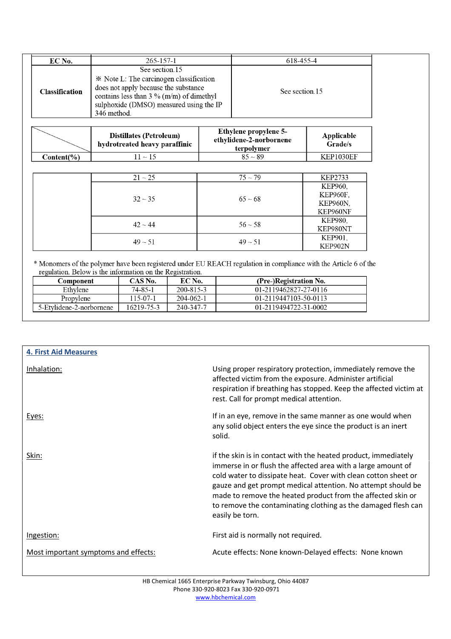| EC No.                | 265-157-1                                                                                                                                                                                                 | 618-455-4      |
|-----------------------|-----------------------------------------------------------------------------------------------------------------------------------------------------------------------------------------------------------|----------------|
| <b>Classification</b> | See section 15<br>* Note L: The carcinogen classification<br>does not apply because the substance<br>contains less than $3\%$ (m/m) of dimethyl<br>sulphoxide (DMSO) measured using the IP<br>346 method. | See section 15 |

|            | <b>Distillates (Petroleum)</b><br>hydrotreated heavy paraffinic | <b>Ethylene propylene 5-</b><br>ethylidene-2-norbornene<br>terpolymer | Applicable<br>Grade/s |
|------------|-----------------------------------------------------------------|-----------------------------------------------------------------------|-----------------------|
| Content(%) | $1 \sim 15$                                                     | $85 - 89$                                                             | KEP1030EF             |

|  | $21 - 25$    | $75 - 79$    | KEP2733          |
|--|--------------|--------------|------------------|
|  |              |              | <b>KEP960,</b>   |
|  | $32 \sim 35$ |              | <b>KEP960F</b> , |
|  |              | $65 - 68$    | <b>KEP960N,</b>  |
|  |              |              | KEP960NF         |
|  | $42 \sim 44$ | $56 - 58$    | <b>KEP980,</b>   |
|  |              |              | KEP980NT         |
|  | $49 \sim 51$ |              | KEP901,          |
|  |              | $49 \sim 51$ | KEP902N          |

\* Monomers of the polymer have been registered under EU REACH regulation in compliance with the Article 6 of the regulation. Below is the information on the Registration.

| Component                | CAS No.    | EC No.    | (Pre-)Registration No. |
|--------------------------|------------|-----------|------------------------|
| Ethvlene                 | 74-85-1    | 200-815-3 | 01-2119462827-27-0116  |
| Propylene                | 115-07-1   | 204-062-1 | 01-2119447103-50-0113  |
| 5-Etylidene-2-norbornene | 16219-75-3 | 240-347-7 | 01-2119494722-31-0002  |

| <b>4. First Aid Measures</b>         |                                                                                                                                                                                                                                                                                                                                                                                                                     |
|--------------------------------------|---------------------------------------------------------------------------------------------------------------------------------------------------------------------------------------------------------------------------------------------------------------------------------------------------------------------------------------------------------------------------------------------------------------------|
| Inhalation:                          | Using proper respiratory protection, immediately remove the<br>affected victim from the exposure. Administer artificial<br>respiration if breathing has stopped. Keep the affected victim at<br>rest. Call for prompt medical attention.                                                                                                                                                                            |
| Eyes:                                | If in an eye, remove in the same manner as one would when<br>any solid object enters the eye since the product is an inert<br>solid.                                                                                                                                                                                                                                                                                |
| Skin:                                | if the skin is in contact with the heated product, immediately<br>immerse in or flush the affected area with a large amount of<br>cold water to dissipate heat. Cover with clean cotton sheet or<br>gauze and get prompt medical attention. No attempt should be<br>made to remove the heated product from the affected skin or<br>to remove the contaminating clothing as the damaged flesh can<br>easily be torn. |
| Ingestion:                           | First aid is normally not required.                                                                                                                                                                                                                                                                                                                                                                                 |
| Most important symptoms and effects: | Acute effects: None known-Delayed effects: None known                                                                                                                                                                                                                                                                                                                                                               |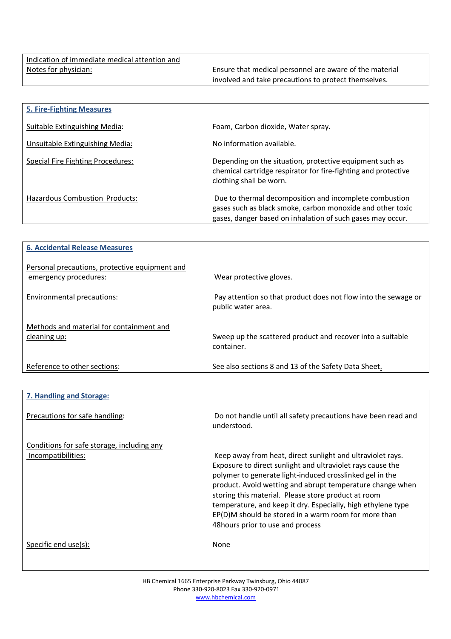| <b>5. Fire-Fighting Measures</b>      |                                                                                                                                                                                    |
|---------------------------------------|------------------------------------------------------------------------------------------------------------------------------------------------------------------------------------|
| Suitable Extinguishing Media:         | Foam, Carbon dioxide, Water spray.                                                                                                                                                 |
| Unsuitable Extinguishing Media:       | No information available.                                                                                                                                                          |
| Special Fire Fighting Procedures:     | Depending on the situation, protective equipment such as<br>chemical cartridge respirator for fire-fighting and protective<br>clothing shall be worn.                              |
| <b>Hazardous Combustion Products:</b> | Due to thermal decomposition and incomplete combustion<br>gases such as black smoke, carbon monoxide and other toxic<br>gases, danger based on inhalation of such gases may occur. |

| <b>6. Accidental Release Measures</b>                                   |                                                                                                                                                                                                                                                                                                                                                                                                                                                                       |
|-------------------------------------------------------------------------|-----------------------------------------------------------------------------------------------------------------------------------------------------------------------------------------------------------------------------------------------------------------------------------------------------------------------------------------------------------------------------------------------------------------------------------------------------------------------|
| Personal precautions, protective equipment and<br>emergency procedures: | Wear protective gloves.                                                                                                                                                                                                                                                                                                                                                                                                                                               |
| <b>Environmental precautions:</b>                                       | Pay attention so that product does not flow into the sewage or<br>public water area.                                                                                                                                                                                                                                                                                                                                                                                  |
| Methods and material for containment and                                |                                                                                                                                                                                                                                                                                                                                                                                                                                                                       |
| cleaning up:                                                            | Sweep up the scattered product and recover into a suitable<br>container.                                                                                                                                                                                                                                                                                                                                                                                              |
| Reference to other sections:                                            | See also sections 8 and 13 of the Safety Data Sheet.                                                                                                                                                                                                                                                                                                                                                                                                                  |
|                                                                         |                                                                                                                                                                                                                                                                                                                                                                                                                                                                       |
| 7. Handling and Storage:                                                |                                                                                                                                                                                                                                                                                                                                                                                                                                                                       |
| Precautions for safe handling:                                          | Do not handle until all safety precautions have been read and<br>understood.                                                                                                                                                                                                                                                                                                                                                                                          |
| Conditions for safe storage, including any                              |                                                                                                                                                                                                                                                                                                                                                                                                                                                                       |
| Incompatibilities:                                                      | Keep away from heat, direct sunlight and ultraviolet rays.<br>Exposure to direct sunlight and ultraviolet rays cause the<br>polymer to generate light-induced crosslinked gel in the<br>product. Avoid wetting and abrupt temperature change when<br>storing this material. Please store product at room<br>temperature, and keep it dry. Especially, high ethylene type<br>EP(D)M should be stored in a warm room for more than<br>48 hours prior to use and process |
| Specific end use(s):                                                    | None                                                                                                                                                                                                                                                                                                                                                                                                                                                                  |

HB Chemical 1665 Enterprise Parkway Twinsburg, Ohio 44087 Phone 330-920-8023 Fax 330-920-0971 www.hbchemical.com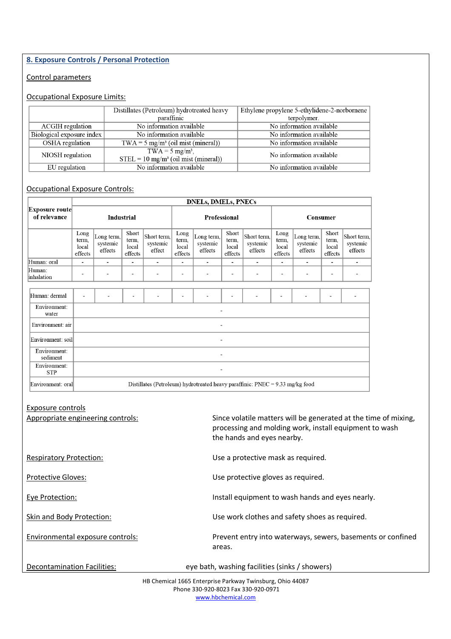### **8. Exposure Controls / Personal Protection**

### Control parameters

## Occupational Exposure Limits:

|                           | Distillates (Petroleum) hydrotreated heavy                                          | Ethylene propylene 5-ethylidene-2-norbornene |
|---------------------------|-------------------------------------------------------------------------------------|----------------------------------------------|
|                           | paraffinic                                                                          | terpolymer.                                  |
| ACGIH regulation          | No information available                                                            | No information available                     |
| Biological exposure index | No information available                                                            | No information available                     |
| OSHA regulation           | $TWA = 5$ mg/m <sup>3</sup> (oil mist (mineral))                                    | No information available                     |
| NIOSH regulation          | $TWA = 5$ mg/m <sup>3</sup> .<br>$STEL = 10$ mg/m <sup>3</sup> (oil mist (mineral)) | No information available                     |
| EU regulation             | No information available                                                            | No information available                     |

### Occupational Exposure Controls:

|                                |                                   | <b>DNELs, DMELs, PNECs</b>                                                      |                                    |                                   |                                   |                                   |                                    |                                    |                                   |                                   |                                    |                                    |
|--------------------------------|-----------------------------------|---------------------------------------------------------------------------------|------------------------------------|-----------------------------------|-----------------------------------|-----------------------------------|------------------------------------|------------------------------------|-----------------------------------|-----------------------------------|------------------------------------|------------------------------------|
| Exposure route<br>of relevance | <b>Industrial</b>                 |                                                                                 |                                    | Professional                      |                                   |                                   | Consumer                           |                                    |                                   |                                   |                                    |                                    |
|                                | Long<br>term,<br>local<br>effects | Long term,<br>systemic<br>effects                                               | Short<br>term,<br>local<br>effects | Short term.<br>systemic<br>effect | Long<br>term,<br>local<br>effects | Long term,<br>systemic<br>effects | Short<br>term.<br>local<br>effects | Short term,<br>systemic<br>effects | Long<br>term,<br>local<br>effects | Long term,<br>systemic<br>effects | Short<br>term,<br>local<br>effects | Short term,<br>systemic<br>effects |
| Human: oral                    | $\overline{\phantom{a}}$          | $\overline{\phantom{a}}$                                                        | $\overline{\phantom{a}}$           | $\overline{\phantom{a}}$          |                                   | $\overline{\phantom{a}}$          | ٠                                  | $\overline{\phantom{a}}$           | ٠                                 | $\overline{\phantom{a}}$          | ۰                                  |                                    |
| Human:<br>inhalation           |                                   |                                                                                 | $\overline{\phantom{0}}$           | $\overline{\phantom{a}}$          |                                   |                                   | $\overline{a}$                     |                                    |                                   |                                   | ٠                                  |                                    |
|                                |                                   |                                                                                 |                                    |                                   |                                   |                                   |                                    |                                    |                                   |                                   |                                    |                                    |
| Human: dermal                  |                                   |                                                                                 |                                    |                                   |                                   |                                   | ۰                                  |                                    |                                   |                                   |                                    |                                    |
| Environment:<br>water          |                                   |                                                                                 |                                    |                                   |                                   |                                   |                                    |                                    |                                   |                                   |                                    |                                    |
| Environment: air               |                                   |                                                                                 |                                    |                                   |                                   |                                   |                                    |                                    |                                   |                                   |                                    |                                    |
| Environment: soil              |                                   |                                                                                 |                                    |                                   |                                   |                                   |                                    |                                    |                                   |                                   |                                    |                                    |
| Environment:<br>sediment       |                                   |                                                                                 |                                    |                                   |                                   |                                   |                                    |                                    |                                   |                                   |                                    |                                    |
| Environment:<br><b>STP</b>     |                                   |                                                                                 |                                    |                                   |                                   |                                   |                                    |                                    |                                   |                                   |                                    |                                    |
| Environment: oral              |                                   | Distillates (Petroleum) hydrotreated heavy paraffinic: $PNEC = 9.33$ mg/kg food |                                    |                                   |                                   |                                   |                                    |                                    |                                   |                                   |                                    |                                    |

| Exposure controls<br>Appropriate engineering controls: | Since volatile matters will be generated at the time of mixing,<br>processing and molding work, install equipment to wash<br>the hands and eyes nearby. |
|--------------------------------------------------------|---------------------------------------------------------------------------------------------------------------------------------------------------------|
| <b>Respiratory Protection:</b>                         | Use a protective mask as required.                                                                                                                      |
| <b>Protective Gloves:</b>                              | Use protective gloves as required.                                                                                                                      |
| Eye Protection:                                        | Install equipment to wash hands and eyes nearly.                                                                                                        |
| Skin and Body Protection:                              | Use work clothes and safety shoes as required.                                                                                                          |
| Environmental exposure controls:                       | Prevent entry into waterways, sewers, basements or confined<br>areas.                                                                                   |
| Decontamination Facilities:                            | eye bath, washing facilities (sinks / showers)                                                                                                          |

HB Chemical 1665 Enterprise Parkway Twinsburg, Ohio 44087 Phone 330-920-8023 Fax 330-920-0971 www.hbchemical.com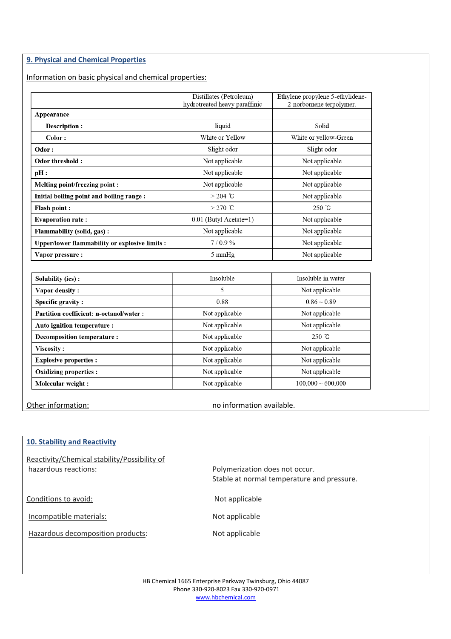### **9. Physical and Chemical Properties**

Information on basic physical and chemical properties:

|                                                | Distillates (Petroleum)<br>hydrotreated heavy paraffinic | Ethylene propylene 5-ethylidene-<br>2-norbornene terpolymer. |
|------------------------------------------------|----------------------------------------------------------|--------------------------------------------------------------|
| Appearance                                     |                                                          |                                                              |
| Description :                                  | liquid                                                   | Solid                                                        |
| Color:                                         | White or Yellow                                          | White or yellow-Green                                        |
| Odor:                                          | Slight odor                                              | Slight odor                                                  |
| Odor threshold:                                | Not applicable                                           | Not applicable                                               |
| pH:                                            | Not applicable                                           | Not applicable                                               |
| Melting point/freezing point:                  | Not applicable                                           | Not applicable                                               |
| Initial boiling point and boiling range:       | $> 204$ °C                                               | Not applicable                                               |
| <b>Flash point:</b>                            | $>270$ °C                                                | $250 \text{ }^{\circ}$ C                                     |
| <b>Evaporation rate:</b>                       | $0.01$ (Butyl Acetate=1)                                 | Not applicable                                               |
| Flammability (solid, gas):                     | Not applicable                                           | Not applicable                                               |
| Upper/lower flammability or explosive limits : | 7/0.9%                                                   | Not applicable                                               |
| Vapor pressure :                               | $5 \text{ mmHg}$                                         | Not applicable                                               |

| Solubility (ies) :                       | Insoluble      | Insoluble in water      |
|------------------------------------------|----------------|-------------------------|
| Vapor density:                           | 5              | Not applicable          |
| Specific gravity:                        | 0.88           | $0.86 - 0.89$           |
| Partition coefficient: n-octanol/water : | Not applicable | Not applicable          |
| Auto ignition temperature :              | Not applicable | Not applicable          |
| Decomposition temperature :              | Not applicable | $250 \text{ }^{\circ}C$ |
| Viscosity:                               | Not applicable | Not applicable          |
| <b>Explosive properties:</b>             | Not applicable | Not applicable          |
| Oxidizing properties :                   | Not applicable | Not applicable          |
| Molecular weight:                        | Not applicable | $100,000 \sim 600,000$  |

Other information: no information available.

# **10. Stability and Reactivity** Reactivity/Chemical stability/Possibility of hazardous reactions: example and the polymerization does not occur. Stable at normal temperature and pressure. Conditions to avoid: Not applicable Incompatible materials: Not applicable Hazardous decomposition products: Not applicable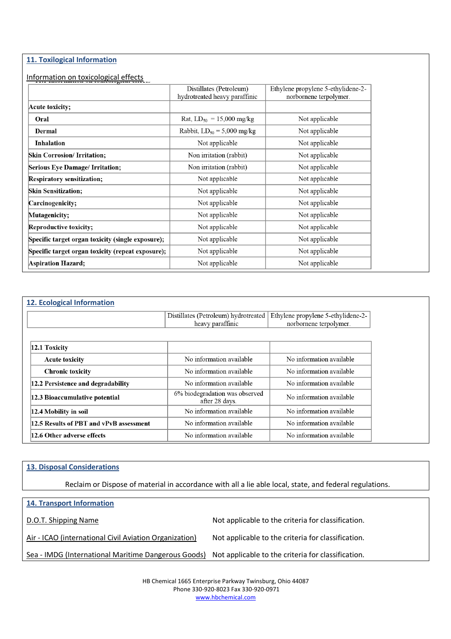### **11. Toxilogical Information**

## Information on toxicological effects

|                                                   | Distillates (Petroleum)<br>hydrotreated heavy paraffinic | Ethylene propylene 5-ethylidene-2-<br>norbornene terpolymer. |
|---------------------------------------------------|----------------------------------------------------------|--------------------------------------------------------------|
| Acute toxicity;                                   |                                                          |                                                              |
| Oral                                              | Rat, $LD_{50} = 15,000$ mg/kg                            | Not applicable                                               |
| Dermal                                            | Rabbit, $LD_{50} = 5,000$ mg/kg                          | Not applicable                                               |
| Inhalation                                        | Not applicable                                           | Not applicable                                               |
| <b>Skin Corrosion/ Irritation;</b>                | Non irritation (rabbit)                                  | Not applicable                                               |
| <b>Serious Eye Damage/Irritation;</b>             | Non irritation (rabbit)                                  | Not applicable                                               |
| Respiratory sensitization;                        | Not applicable                                           | Not applicable                                               |
| <b>Skin Sensitization;</b>                        | Not applicable                                           | Not applicable                                               |
| Carcinogenicity;                                  | Not applicable                                           | Not applicable                                               |
| Mutagenicity;                                     | Not applicable                                           | Not applicable                                               |
| Reproductive toxicity;                            | Not applicable                                           | Not applicable                                               |
| Specific target organ toxicity (single exposure); | Not applicable                                           | Not applicable                                               |
| Specific target organ toxicity (repeat exposure); | Not applicable                                           | Not applicable                                               |
| Aspiration Hazard;                                | Not applicable                                           | Not applicable                                               |
|                                                   |                                                          |                                                              |

| <b>12. Ecological Information</b>       |                                                  |                                    |  |
|-----------------------------------------|--------------------------------------------------|------------------------------------|--|
|                                         | Distillates (Petroleum) hydrotreated             | Ethylene propylene 5-ethylidene-2- |  |
|                                         | heavy paraffinic                                 | norbornene terpolymer.             |  |
|                                         |                                                  |                                    |  |
| 12.1 Toxicity                           |                                                  |                                    |  |
| <b>Acute toxicity</b>                   | No information available                         | No information available           |  |
| <b>Chronic toxicity</b>                 | No information available                         | No information available           |  |
| 12.2 Persistence and degradability      | No information available                         | No information available           |  |
| 12.3 Bioaccumulative potential          | 6% biodegradation was observed<br>after 28 days. | No information available           |  |
| 12.4 Mobility in soil                   | No information available                         | No information available           |  |
| 12.5 Results of PBT and vPvB assessment | No information available                         | No information available           |  |
| 12.6 Other adverse effects              | No information available                         | No information available           |  |

### **13. Disposal Considerations**

Reclaim or Dispose of material in accordance with all a lie able local, state, and federal regulations.

| <b>14. Transport Information</b>                                                                       |                                                    |
|--------------------------------------------------------------------------------------------------------|----------------------------------------------------|
| D.O.T. Shipping Name                                                                                   | Not applicable to the criteria for classification. |
| Air - ICAO (international Civil Aviation Organization)                                                 | Not applicable to the criteria for classification. |
| Sea - IMDG (International Maritime Dangerous Goods) Not applicable to the criteria for classification. |                                                    |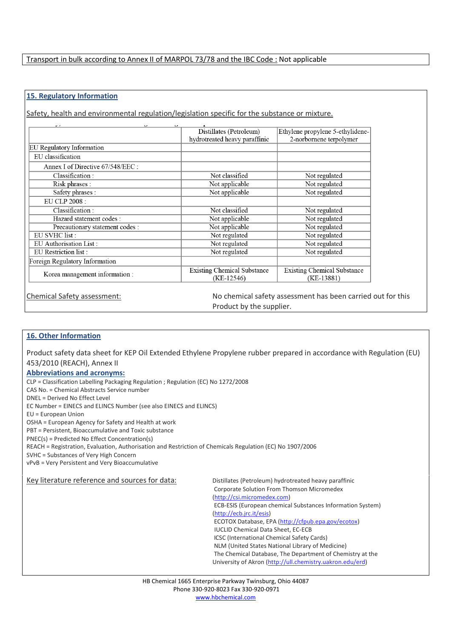### Transport in bulk according to Annex II of MARPOL 73/78 and the IBC Code : Not applicable

### **15. Regulatory Information**

Safety, health and environmental regulation/legislation specific for the substance or mixture.

| $\mathbf{v}$<br>$\overline{ }$<br>$\mathbf{\mathcal{L}}$ |                                                    |                                                  |
|----------------------------------------------------------|----------------------------------------------------|--------------------------------------------------|
|                                                          | Distillates (Petroleum)                            | Ethylene propylene 5-ethylidene-                 |
|                                                          | hydrotreated heavy paraffinic                      | 2-norbornene terpolymer                          |
| EU Regulatory Information                                |                                                    |                                                  |
| EU classification                                        |                                                    |                                                  |
| Annex I of Directive 67/548/EEC :                        |                                                    |                                                  |
| Classification:                                          | Not classified                                     | Not regulated                                    |
| Risk phrases :                                           | Not applicable                                     | Not regulated                                    |
| Safety phrases :                                         | Not applicable                                     | Not regulated                                    |
| EU CLP 2008 :                                            |                                                    |                                                  |
| Classification:                                          | Not classified                                     | Not regulated                                    |
| Hazard statement codes :                                 | Not applicable                                     | Not regulated                                    |
| Precautionary statement codes :                          | Not applicable                                     | Not regulated                                    |
| EU SVHC list :                                           | Not regulated                                      | Not regulated                                    |
| EU Authorisation List:                                   | Not regulated                                      | Not regulated                                    |
| EU Restriction list :                                    | Not regulated                                      | Not regulated                                    |
| Foreign Regulatory Information                           |                                                    |                                                  |
| Korea management information :                           | <b>Existing Chemical Substance</b><br>$(KE-12546)$ | <b>Existing Chemical Substance</b><br>(KE-13881) |

Chemical Safety assessment: No chemical safety assessment has been carried out for this Product by the supplier.

### **16. Other Information**

Product safety data sheet for KEP Oil Extended Ethylene Propylene rubber prepared in accordance with Regulation (EU) 453/2010 (REACH), Annex II

#### **Abbreviations and acronyms:**

CLP = Classification Labelling Packaging Regulation ; Regulation (EC) No 1272/2008

CAS No. = Chemical Abstracts Service number

DNEL = Derived No Effect Level

EC Number = EINECS and ELINCS Number (see also EINECS and ELINCS)

EU = European Union

OSHA = European Agency for Safety and Health at work

PBT = Persistent, Bioaccumulative and Toxic substance

PNEC(s) = Predicted No Effect Concentration(s)

REACH = Registration, Evaluation, Authorisation and Restriction of Chemicals Regulation (EC) No 1907/2006

SVHC = Substances of Very High Concern

vPvB = Very Persistent and Very Bioaccumulative

Key literature reference and sources for data: Distillates (Petroleum) hydrotreated heavy paraffinic

Corporate Solution From Thomson Micromedex (http://csi.micromedex.com) ECB-ESIS (European chemical Substances Information System) (http://ecb.jrc.it/esis) ECOTOX Database, EPA (http://cfpub.epa.gov/ecotox) IUCLID Chemical Data Sheet, EC-ECB ICSC (International Chemical Safety Cards) NLM (United States National Library of Medicine) The Chemical Database, The Department of Chemistry at the University of Akron (http://ull.chemistry.uakron.edu/erd)